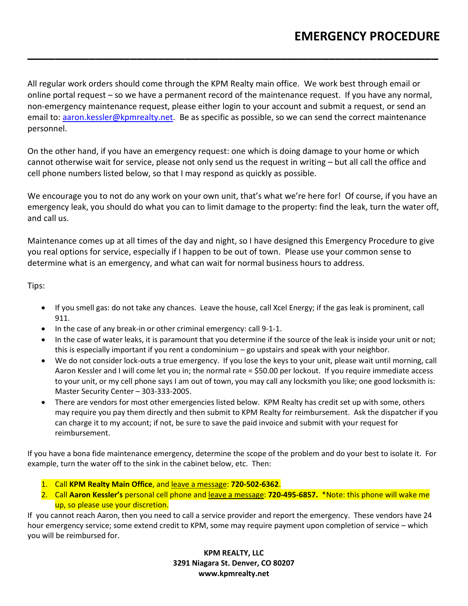All regular work orders should come through the KPM Realty main office. We work best through email or online portal request – so we have a permanent record of the maintenance request. If you have any normal, non-emergency maintenance request, please either login to your account and submit a request, or send an email to: [aaron.kessler@kpmrealty.net.](mailto:aaron.kessler@kpmrealty.net) Be as specific as possible, so we can send the correct maintenance personnel.

**\_\_\_\_\_\_\_\_\_\_\_\_\_\_\_\_\_\_\_\_\_\_\_\_\_\_\_\_\_\_\_\_\_\_\_\_\_\_\_\_\_\_\_\_\_\_\_\_\_\_\_\_\_\_\_\_\_\_\_\_**

On the other hand, if you have an emergency request: one which is doing damage to your home or which cannot otherwise wait for service, please not only send us the request in writing – but all call the office and cell phone numbers listed below, so that I may respond as quickly as possible.

We encourage you to not do any work on your own unit, that's what we're here for! Of course, if you have an emergency leak, you should do what you can to limit damage to the property: find the leak, turn the water off, and call us.

Maintenance comes up at all times of the day and night, so I have designed this Emergency Procedure to give you real options for service, especially if I happen to be out of town. Please use your common sense to determine what is an emergency, and what can wait for normal business hours to address.

Tips:

- If you smell gas: do not take any chances. Leave the house, call Xcel Energy; if the gas leak is prominent, call 911.
- In the case of any break-in or other criminal emergency: call 9-1-1.
- In the case of water leaks, it is paramount that you determine if the source of the leak is inside your unit or not; this is especially important if you rent a condominium – go upstairs and speak with your neighbor.
- We do not consider lock-outs a true emergency. If you lose the keys to your unit, please wait until morning, call Aaron Kessler and I will come let you in; the normal rate = \$50.00 per lockout. If you require immediate access to your unit, or my cell phone says I am out of town, you may call any locksmith you like; one good locksmith is: Master Security Center – 303-333-2005.
- There are vendors for most other emergencies listed below. KPM Realty has credit set up with some, others may require you pay them directly and then submit to KPM Realty for reimbursement. Ask the dispatcher if you can charge it to my account; if not, be sure to save the paid invoice and submit with your request for reimbursement.

If you have a bona fide maintenance emergency, determine the scope of the problem and do your best to isolate it. For example, turn the water off to the sink in the cabinet below, etc. Then:

- 1. Call **KPM Realty Main Office**, and leave a message: **720-502-6362**.
- 2. Call **Aaron Kessler's** personal cell phone and leave a message: **720-495-6857.** \*Note: this phone will wake me up, so please use your discretion.

If you cannot reach Aaron, then you need to call a service provider and report the emergency. These vendors have 24 hour emergency service; some extend credit to KPM, some may require payment upon completion of service – which you will be reimbursed for.

> **KPM REALTY, LLC 3291 Niagara St. Denver, CO 80207 www.kpmrealty.net**